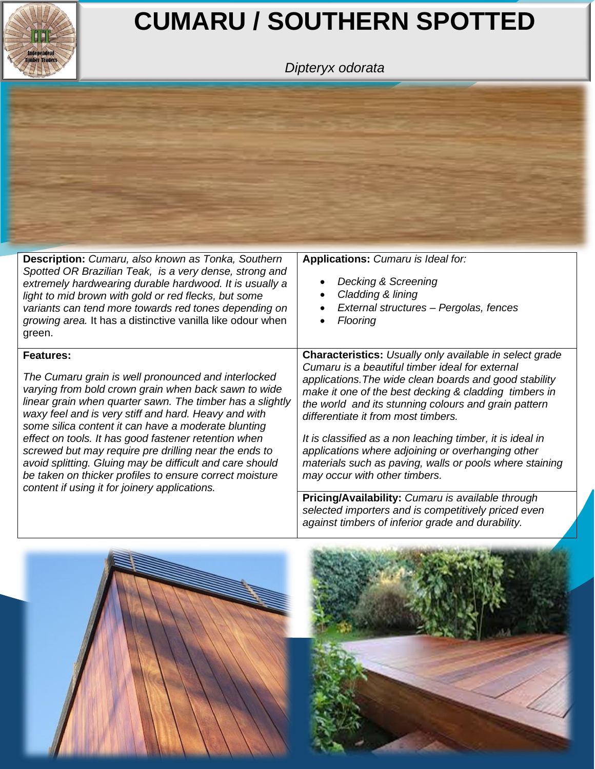

## **CUMARU / SOUTHERN SPOTTED**

*Dipteryx odorata*



| <b>Description:</b> Cumaru, also known as Tonka, Southern<br>Spotted OR Brazilian Teak, is a very dense, strong and<br>extremely hardwearing durable hardwood. It is usually a<br>light to mid brown with gold or red flecks, but some<br>variants can tend more towards red tones depending on<br>growing area. It has a distinctive vanilla like odour when<br>green.                                                                                                                                                                                                                              | Applications: Cumaru is Ideal for:<br>Decking & Screening<br>Cladding & lining<br>External structures - Pergolas, fences<br><b>Flooring</b>                                                                                                                                                                                                                                                                                                                                                                                                       |  |  |
|------------------------------------------------------------------------------------------------------------------------------------------------------------------------------------------------------------------------------------------------------------------------------------------------------------------------------------------------------------------------------------------------------------------------------------------------------------------------------------------------------------------------------------------------------------------------------------------------------|---------------------------------------------------------------------------------------------------------------------------------------------------------------------------------------------------------------------------------------------------------------------------------------------------------------------------------------------------------------------------------------------------------------------------------------------------------------------------------------------------------------------------------------------------|--|--|
| <b>Features:</b><br>The Cumaru grain is well pronounced and interlocked<br>varying from bold crown grain when back sawn to wide<br>linear grain when quarter sawn. The timber has a slightly<br>waxy feel and is very stiff and hard. Heavy and with<br>some silica content it can have a moderate blunting<br>effect on tools. It has good fastener retention when<br>screwed but may require pre drilling near the ends to<br>avoid splitting. Gluing may be difficult and care should<br>be taken on thicker profiles to ensure correct moisture<br>content if using it for joinery applications. | <b>Characteristics:</b> Usually only available in select grade<br>Cumaru is a beautiful timber ideal for external<br>applications. The wide clean boards and good stability<br>make it one of the best decking & cladding timbers in<br>the world and its stunning colours and grain pattern<br>differentiate it from most timbers.<br>It is classified as a non leaching timber, it is ideal in<br>applications where adjoining or overhanging other<br>materials such as paving, walls or pools where staining<br>may occur with other timbers. |  |  |
|                                                                                                                                                                                                                                                                                                                                                                                                                                                                                                                                                                                                      | Pricing/Availability: Cumaru is available through<br>selected importers and is competitively priced even<br>against timbers of inferior grade and durability.                                                                                                                                                                                                                                                                                                                                                                                     |  |  |